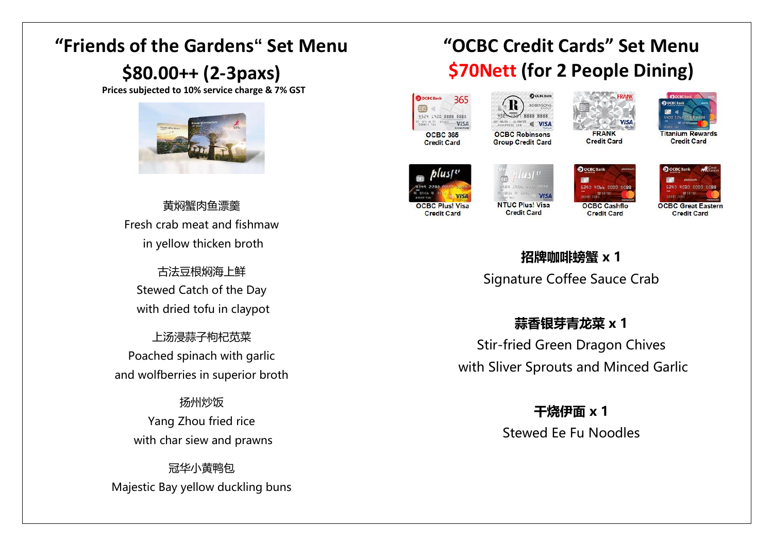## **"Friends of the Gardens" Set Menu**

### **\$80.00++ (2-3paxs)**

**Prices subjected to 10% service charge & 7% GST**



黄焖蟹肉鱼漂羹 Fresh crab meat and fishmaw in yellow thicken broth

古法豆根焖海上鲜 Stewed Catch of the Day with dried tofu in claypot

上汤浸蒜子枸杞苋菜 Poached spinach with garlic and wolfberries in superior broth

扬州炒饭 Yang Zhou fried rice with char siew and prawns

冠华小黄鸭包 Majestic Bay yellow duckling buns

# **"OCBC Credit Cards" Set Menu \$70Nett (for 2 People Dining)**



9999 9999 **OCBC Robinsons Group Credit Card** 





**Titanium Rewards Credit Card** 



**Credit Card** 

**VISA NTUC Plus! Visa** 

**Credit Card** 

**ROBINSON** 

all VISA





**OCBC Great Eastern Credit Card** 

### **招牌咖啡螃蟹 x 1** Signature Coffee Sauce Crab

#### **蒜香银芽青龙菜 x 1**

Stir-fried Green Dragon Chives with Sliver Sprouts and Minced Garlic

> **干烧伊面 x 1** Stewed Ee Fu Noodles